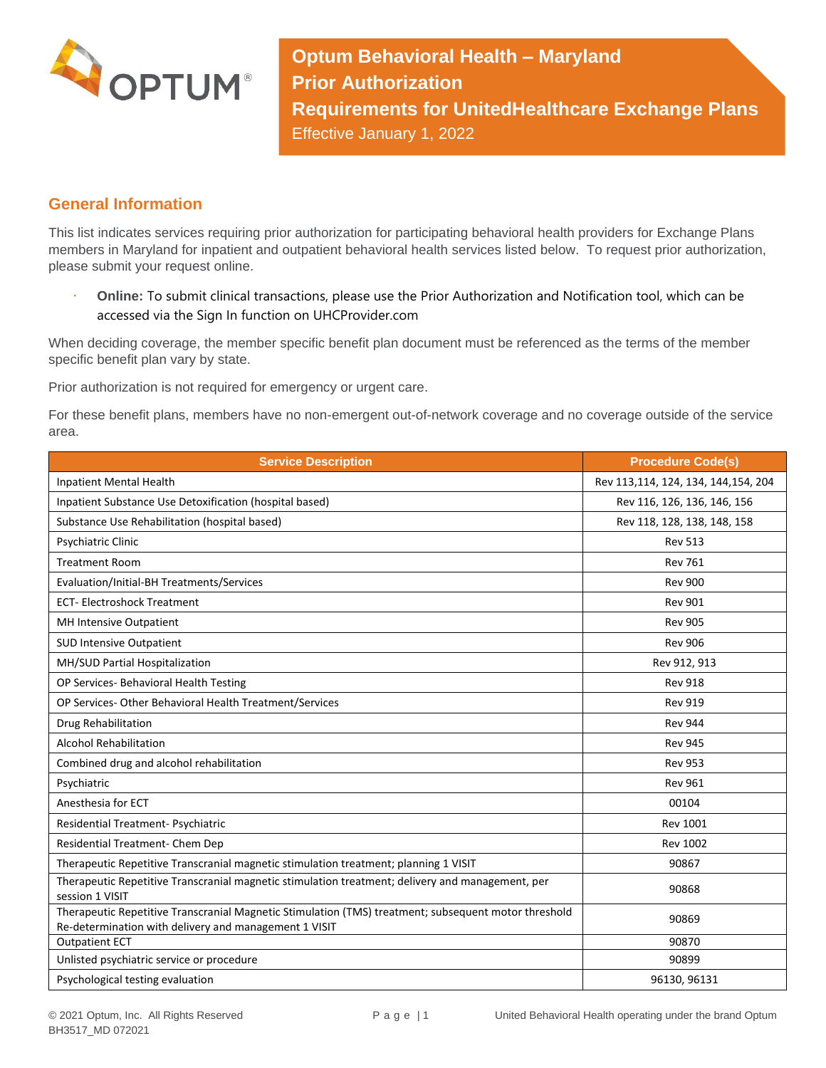

**Optum Behavioral Health – Maryland Prior Authorization Requirements for UnitedHealthcare Exchange Plans** Effective January 1, 2022

## **General Information**

This list indicates services requiring prior authorization for participating behavioral health providers for Exchange Plans members in Maryland for inpatient and outpatient behavioral health services listed below. To request prior authorization, please submit your request online.

 **Online:** To submit clinical transactions, please use the Prior Authorization and Notification tool, which can be accessed via the Sign In function on UHCProvider.com

When deciding coverage, the member specific benefit plan document must be referenced as the terms of the member specific benefit plan vary by state.

Prior authorization is not required for emergency or urgent care.

For these benefit plans, members have no non-emergent out-of-network coverage and no coverage outside of the service area.

| <b>Service Description</b>                                                                                                                                    | <b>Procedure Code(s)</b>            |
|---------------------------------------------------------------------------------------------------------------------------------------------------------------|-------------------------------------|
| <b>Inpatient Mental Health</b>                                                                                                                                | Rev 113,114, 124, 134, 144,154, 204 |
| Inpatient Substance Use Detoxification (hospital based)                                                                                                       | Rev 116, 126, 136, 146, 156         |
| Substance Use Rehabilitation (hospital based)                                                                                                                 | Rev 118, 128, 138, 148, 158         |
| Psychiatric Clinic                                                                                                                                            | <b>Rev 513</b>                      |
| <b>Treatment Room</b>                                                                                                                                         | <b>Rev 761</b>                      |
| Evaluation/Initial-BH Treatments/Services                                                                                                                     | <b>Rev 900</b>                      |
| <b>ECT-Electroshock Treatment</b>                                                                                                                             | <b>Rev 901</b>                      |
| MH Intensive Outpatient                                                                                                                                       | <b>Rev 905</b>                      |
| <b>SUD Intensive Outpatient</b>                                                                                                                               | <b>Rev 906</b>                      |
| MH/SUD Partial Hospitalization                                                                                                                                | Rev 912, 913                        |
| OP Services- Behavioral Health Testing                                                                                                                        | <b>Rev 918</b>                      |
| OP Services-Other Behavioral Health Treatment/Services                                                                                                        | <b>Rev 919</b>                      |
| Drug Rehabilitation                                                                                                                                           | <b>Rev 944</b>                      |
| <b>Alcohol Rehabilitation</b>                                                                                                                                 | <b>Rev 945</b>                      |
| Combined drug and alcohol rehabilitation                                                                                                                      | <b>Rev 953</b>                      |
| Psychiatric                                                                                                                                                   | <b>Rev 961</b>                      |
| Anesthesia for ECT                                                                                                                                            | 00104                               |
| Residential Treatment- Psychiatric                                                                                                                            | <b>Rev 1001</b>                     |
| Residential Treatment- Chem Dep                                                                                                                               | <b>Rev 1002</b>                     |
| Therapeutic Repetitive Transcranial magnetic stimulation treatment; planning 1 VISIT                                                                          | 90867                               |
| Therapeutic Repetitive Transcranial magnetic stimulation treatment; delivery and management, per<br>session 1 VISIT                                           | 90868                               |
| Therapeutic Repetitive Transcranial Magnetic Stimulation (TMS) treatment; subsequent motor threshold<br>Re-determination with delivery and management 1 VISIT | 90869                               |
| <b>Outpatient ECT</b>                                                                                                                                         | 90870                               |
| Unlisted psychiatric service or procedure                                                                                                                     | 90899                               |
| Psychological testing evaluation                                                                                                                              | 96130, 96131                        |